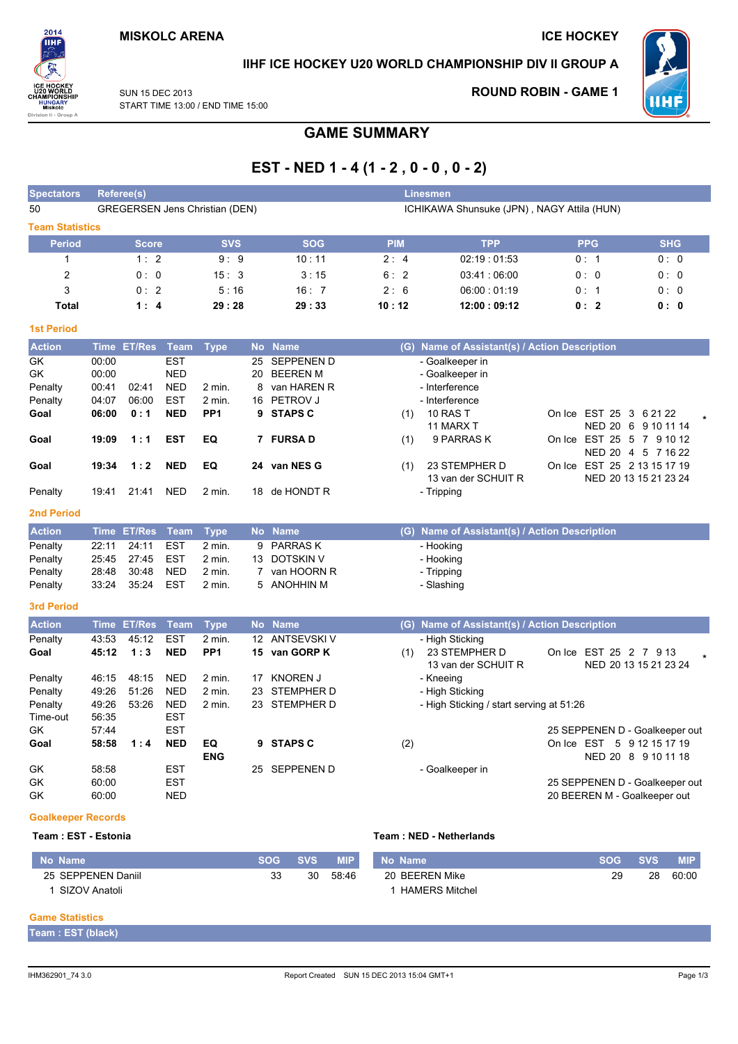

### IIHF ICE HOCKEY U20 WORLD CHAMPIONSHIP DIV II GROUP A

**SUN 15 DEC 2013** START TIME 13:00 / END TIME 15:00

### **ROUND ROBIN - GAME 1**



# **GAME SUMMARY**

# EST - NED 1 - 4 (1 - 2, 0 - 0, 0 - 2)

| <b>Spectators</b>      |             | Referee(s)    |             |                                       |             |                   |            | <b>Linesmen</b>                               |                                |                       |
|------------------------|-------------|---------------|-------------|---------------------------------------|-------------|-------------------|------------|-----------------------------------------------|--------------------------------|-----------------------|
| 50                     |             |               |             | <b>GREGERSEN Jens Christian (DEN)</b> |             |                   |            | ICHIKAWA Shunsuke (JPN), NAGY Attila (HUN)    |                                |                       |
| <b>Team Statistics</b> |             |               |             |                                       |             |                   |            |                                               |                                |                       |
| <b>Period</b>          |             | <b>Score</b>  |             | <b>SVS</b>                            |             | <b>SOG</b>        | <b>PIM</b> | <b>TPP</b>                                    | <b>PPG</b>                     | <b>SHG</b>            |
| $\mathbf{1}$           |             | 1:2           |             | 9:9                                   |             | 10:11             | 2:4        | 02:19:01:53                                   | 0:1                            | 0:0                   |
| $\overline{c}$         |             | 0:0           |             | 15:3                                  |             | 3:15              | 6:2        | 03:41:06:00                                   | 0:0                            | 0:0                   |
| 3                      |             | 0:2           |             | 5:16                                  |             | 16:7              | 2:6        | 06:00:01:19                                   | 0: 1                           | 0:0                   |
| <b>Total</b>           |             | 1:4           |             | 29:28                                 |             | 29:33             | 10:12      | 12:00:09:12                                   | 0:2                            | 0:0                   |
| <b>1st Period</b>      |             |               |             |                                       |             |                   |            |                                               |                                |                       |
| <b>Action</b>          | <b>Time</b> | <b>ET/Res</b> | <b>Team</b> | <b>Type</b>                           | <b>No</b>   | <b>Name</b>       |            | (G) Name of Assistant(s) / Action Description |                                |                       |
| GK                     | 00:00       |               | <b>EST</b>  |                                       | 25          | <b>SEPPENEN D</b> |            | - Goalkeeper in                               |                                |                       |
| GK                     | 00:00       |               | <b>NED</b>  |                                       | 20          | <b>BEEREN M</b>   |            | - Goalkeeper in                               |                                |                       |
| Penalty                | 00:41       | 02:41         | <b>NED</b>  | 2 min.                                | 8           | van HAREN R       |            | - Interference                                |                                |                       |
| Penalty                | 04:07       | 06:00         | <b>EST</b>  | 2 min.                                |             | 16 PETROV J       |            | - Interference                                |                                |                       |
| Goal                   | 06:00       | 0:1           | <b>NED</b>  | PP <sub>1</sub>                       |             | 9 STAPS C         | (1)        | <b>10 RAS T</b>                               | On Ice EST 25 3 6 21 22        |                       |
|                        |             |               |             |                                       |             |                   |            | 11 MARX T                                     |                                | NED 20 6 9 10 11 14   |
| Goal                   | 19:09       | 1:1           | <b>EST</b>  | EQ                                    |             | 7 FURSA D         | (1)        | 9 PARRAS K                                    | On Ice EST 25 5 7 9 10 12      | NED 20 4 5 7 16 22    |
| Goal                   | 19:34       | 1:2           | <b>NED</b>  | EQ                                    |             | 24 van NES G      | (1)        | 23 STEMPHER D<br>13 van der SCHUIT R          | On Ice EST 25 2 13 15 17 19    | NED 20 13 15 21 23 24 |
| Penalty                | 19:41       | 21:41         | <b>NED</b>  | $2$ min.                              |             | 18 de HONDT R     |            | - Tripping                                    |                                |                       |
| <b>2nd Period</b>      |             |               |             |                                       |             |                   |            |                                               |                                |                       |
| <b>Action</b>          |             | Time ET/Res   | <b>Team</b> | <b>Type</b>                           |             | No Name           |            | (G) Name of Assistant(s) / Action Description |                                |                       |
| Penalty                | 22:11       | 24:11         | <b>EST</b>  | 2 min.                                | 9           | <b>PARRASK</b>    |            | - Hooking                                     |                                |                       |
| Penalty                | 25:45       | 27:45         | <b>EST</b>  | 2 min.                                |             | 13 DOTSKIN V      |            | - Hooking                                     |                                |                       |
| Penalty                | 28:48       | 30:48         | <b>NED</b>  | 2 min.                                | $7^{\circ}$ | van HOORN R       |            | - Tripping                                    |                                |                       |
| Penalty                | 33:24       | 35:24         | <b>EST</b>  | 2 min.                                | 5           | ANOHHIN M         |            | - Slashing                                    |                                |                       |
| <b>3rd Period</b>      |             |               |             |                                       |             |                   |            |                                               |                                |                       |
| <b>Action</b>          | <b>Time</b> | <b>ET/Res</b> | <b>Team</b> | <b>Type</b>                           |             | No Name           |            | (G) Name of Assistant(s) / Action Description |                                |                       |
| Penalty                | 43:53       | 45:12         | <b>EST</b>  | $2$ min.                              |             | 12 ANTSEVSKI V    |            | - High Sticking                               |                                |                       |
| Goal                   | 45:12       | 1:3           | <b>NED</b>  | PP <sub>1</sub>                       | 15          | van GORP K        | (1)        | 23 STEMPHER D<br>13 van der SCHUIT R          | On Ice EST 25 2 7 9 13         | NED 20 13 15 21 23 24 |
| Penalty                | 46:15       | 48:15         | <b>NED</b>  | 2 min.                                | 17          | <b>KNOREN J</b>   |            | - Kneeing                                     |                                |                       |
| Penalty                | 49:26       | 51:26         | <b>NED</b>  | 2 min.                                | 23          | STEMPHER D        |            | - High Sticking                               |                                |                       |
| Penalty                | 49:26       | 53:26         | <b>NED</b>  | 2 min.                                |             | 23 STEMPHER D     |            | - High Sticking / start serving at 51:26      |                                |                       |
| Time-out               | 56:35       |               | <b>EST</b>  |                                       |             |                   |            |                                               |                                |                       |
| GK                     | 57:44       |               | <b>EST</b>  |                                       |             |                   |            |                                               | 25 SEPPENEN D - Goalkeeper out |                       |
| Goal                   | 58:58       | 1:4           | <b>NED</b>  | EQ                                    | 9           | <b>STAPS C</b>    | (2)        |                                               | On Ice EST 5 9 12 15 17 19     |                       |
|                        |             |               |             | <b>ENG</b>                            |             |                   |            |                                               |                                | NED 20 8 9 10 11 18   |
| GK                     | 58:58       |               | EST         |                                       |             | 25 SEPPENEN D     |            | - Goalkeeper in                               |                                |                       |
| GK                     | 60:00       |               | <b>EST</b>  |                                       |             |                   |            |                                               | 25 SEPPENEN D - Goalkeeper out |                       |
| GK                     | 60:00       |               | <b>NED</b>  |                                       |             |                   |            |                                               | 20 BEEREN M - Goalkeeper out   |                       |

#### **Goalkeeper Records**

### Team: EST - Estonia

#### Team: NED - Netherlands

| ⊾ No Name \        | SOG ' | <b>SVS</b> | <b>MIP</b> | Mo Name'              | <b>SOG</b> | <b>SVS</b> | <b>MIP</b> |
|--------------------|-------|------------|------------|-----------------------|------------|------------|------------|
| 25 SEPPENEN Daniil | 33    | 30         | 58:46      | 20 BEEREN Mike        | 29         | 28         | 60:00      |
| SIZOV Anatoli      |       |            |            | <b>HAMERS Mitchel</b> |            |            |            |

### **Game Statistics**

Team : EST (black)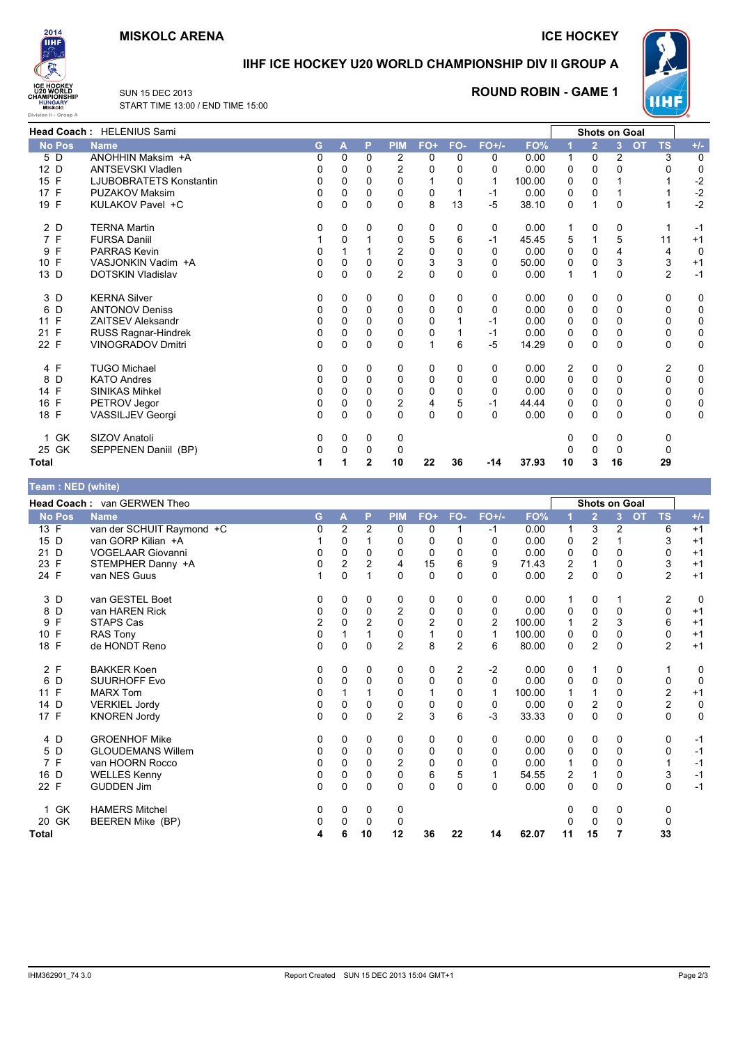### **MISKOLC ARENA**

**ICE HOCKEY** 



## IIHF ICE HOCKEY U20 WORLD CHAMPIONSHIP DIV II GROUP A



### **ROUND ROBIN - GAME 1**

Ē



|                    | <b>Head Coach: HELENIUS Sami</b> |    |          |   |                |          |     |          |        |             |                | <b>Shots on Goal</b> |                        |       |
|--------------------|----------------------------------|----|----------|---|----------------|----------|-----|----------|--------|-------------|----------------|----------------------|------------------------|-------|
| <b>No Pos</b>      | <b>Name</b>                      | G. | A        | P | <b>PIM</b>     | FO+      | FO- | $FO+/-$  | FO%    |             | $\overline{2}$ | $\overline{3}$       | <b>OT</b><br><b>TS</b> | $+/-$ |
| 5 D                | ANOHHIN Maksim +A                | 0  | 0        | 0 | 2              | 0        | 0   | 0        | 0.00   | 1           | 0              | 2                    | 3                      | 0     |
| 12 D               | <b>ANTSEVSKI Vladlen</b>         | 0  | 0        | 0 | 2              | 0        | 0   | 0        | 0.00   | 0           | 0              | 0                    | 0                      | 0     |
| 15 F               | LJUBOBRATETS Konstantin          | 0  | 0        | 0 | $\Omega$       | 1        | 0   |          | 100.00 | 0           | 0              |                      |                        | $-2$  |
| 17 F               | PUZAKOV Maksim                   | 0  | 0        | 0 | 0              | 0        |     | -1       | 0.00   | 0           | 0              |                      |                        | $-2$  |
| 19 F               | KULAKOV Pavel +C                 | 0  | $\Omega$ | 0 | 0              | 8        | 13  | $-5$     | 38.10  | $\mathbf 0$ |                | $\Omega$             | 1                      | $-2$  |
| 2 D                | <b>TERNA Martin</b>              | 0  | 0        | 0 | 0              | 0        | 0   | 0        | 0.00   |             | 0              | 0                    | 1                      | $-1$  |
| 7 F                | <b>FURSA Daniil</b>              |    | $\Omega$ |   | $\mathbf 0$    | 5        | 6   | -1       | 45.45  | 5           |                | 5                    | 11                     | $+1$  |
| F<br>9             | <b>PARRAS Kevin</b>              | 0  |          |   | 2              | 0        | 0   | 0        | 0.00   | 0           | 0              | 4                    | 4                      | 0     |
| 10 F               | VASJONKIN Vadim +A               | 0  | 0        | 0 | $\mathbf 0$    | 3        | 3   | 0        | 50.00  | 0           | 0              | 3                    | 3                      | $+1$  |
| 13 D               | DOTSKIN Vladislav                | 0  | 0        | 0 | $\overline{2}$ | 0        | 0   | 0        | 0.00   | 1           |                | 0                    | $\overline{2}$         | $-1$  |
| 3 D                | <b>KERNA Silver</b>              | 0  | 0        | 0 | 0              | 0        | 0   | 0        | 0.00   | 0           | 0              | 0                    | 0                      | 0     |
| 6<br>D             | <b>ANTONOV Deniss</b>            | 0  | 0        | 0 | $\Omega$       | 0        | 0   | $\Omega$ | 0.00   | 0           | 0              | 0                    | 0                      | 0     |
| 11 F               | <b>ZAITSEV Aleksandr</b>         | 0  | $\Omega$ | 0 | $\Omega$       | $\Omega$ |     | -1       | 0.00   | $\mathbf 0$ | 0              | 0                    | 0                      | 0     |
| $\mathsf{F}$<br>21 | RUSS Ragnar-Hindrek              | 0  | 0        | 0 | 0              | 0        |     | -1       | 0.00   | 0           | 0              | 0                    | 0                      | 0     |
| 22 F               | <b>VINOGRADOV Dmitri</b>         | 0  | 0        | 0 | $\Omega$       | 1        | 6   | -5       | 14.29  | 0           | 0              | 0                    | 0                      | 0     |
| 4 F                | <b>TUGO Michael</b>              | 0  | 0        | 0 | 0              | 0        | 0   | 0        | 0.00   | 2           | 0              | 0                    | 2                      | 0     |
| D<br>8             | <b>KATO Andres</b>               | 0  | 0        | 0 | $\Omega$       | 0        | 0   | 0        | 0.00   | 0           | 0              | 0                    | 0                      | 0     |
| 14 F               | <b>SINIKAS Mihkel</b>            | 0  | $\Omega$ | 0 | $\Omega$       | 0        | 0   | $\Omega$ | 0.00   | $\mathbf 0$ | 0              | 0                    | 0                      | 0     |
| 16 F               | PETROV Jegor                     | 0  | 0        | 0 | 2              | 4        | 5   | -1       | 44.44  | 0           | 0              | 0                    | 0                      | 0     |
| 18 F               | VASSILJEV Georgi                 | 0  | 0        | 0 | $\Omega$       | 0        | 0   | $\Omega$ | 0.00   | 0           | 0              | 0                    | $\Omega$               | 0     |
| GK<br>1            | SIZOV Anatoli                    | 0  | 0        | 0 | 0              |          |     |          |        | 0           | 0              | 0                    | 0                      |       |
| 25 GK              | SEPPENEN Daniil (BP)             | 0  | 0        | 0 | 0              |          |     |          |        |             | 0              | 0                    | 0                      |       |
| Total              |                                  |    |          | 2 | 10             | 22       | 36  | -14      | 37.93  | 10          | 3              | 16                   | 29                     |       |

| Team: NED (white)  |                             |          |             |              |                |              |                |              |        |                         |                      |              |           |                         |       |
|--------------------|-----------------------------|----------|-------------|--------------|----------------|--------------|----------------|--------------|--------|-------------------------|----------------------|--------------|-----------|-------------------------|-------|
|                    | Head Coach: van GERWEN Theo |          |             |              |                |              |                |              |        |                         | <b>Shots on Goal</b> |              |           |                         |       |
| <b>No Pos</b>      | <b>Name</b>                 | G        | A           | P            | <b>PIM</b>     | FO+          | FO-            | $FO+/-$      | FO%    |                         | $\overline{2}$       | 3            | <b>OT</b> | <b>TS</b>               | $+/-$ |
| 13 F               | van der SCHUIT Raymond +C   | 0        | 2           | 2            | 0              | 0            |                | $-1$         | 0.00   | 1                       | 3                    | 2            |           | 6                       | $+1$  |
| 15 D               | van GORP Kilian +A          |          | 0           |              | 0              | 0            | 0              | 0            | 0.00   | 0                       | 2                    |              |           | 3                       | $+1$  |
| D<br>21            | <b>VOGELAAR Giovanni</b>    | 0        | 0           | 0            | $\Omega$       | 0            | 0              | 0            | 0.00   | 0                       | 0                    | 0            |           | 0                       | $+1$  |
| $\mathsf{F}$<br>23 | STEMPHER Danny +A           | 0        | 2           | 2            | 4              | 15           | 6              | 9            | 71.43  | $\overline{\mathbf{c}}$ |                      | 0            |           | 3                       | $+1$  |
| 24 F               | van NES Guus                | 1        | $\Omega$    | $\mathbf{1}$ | $\Omega$       | $\mathbf{0}$ | 0              | 0            | 0.00   | $\overline{2}$          | $\Omega$             | 0            |           | $\overline{2}$          | $+1$  |
| 3 D                | van GESTEL Boet             | 0        | 0           | 0            | 0              | 0            | 0              | 0            | 0.00   |                         | 0                    |              |           | $\overline{2}$          | 0     |
| 8 D                | van HAREN Rick              | 0        | 0           | 0            | $\overline{2}$ | 0            | 0              | 0            | 0.00   | 0                       | 0                    | 0            |           | 0                       | $+1$  |
| $\mathsf{F}$<br>9  | <b>STAPS Cas</b>            | 2        | $\Omega$    | 2            | $\Omega$       | 2            | 0              | 2            | 100.00 | 1                       | 2                    | 3            |           | 6                       | $+1$  |
| 10 F               | <b>RAS Tony</b>             | 0        |             |              | $\mathbf 0$    | $\mathbf{1}$ | 0              | 1            | 100.00 | 0                       | $\mathbf 0$          | 0            |           | 0                       | $+1$  |
| 18 F               | de HONDT Reno               | $\Omega$ | $\Omega$    | $\mathbf{0}$ | $\overline{2}$ | 8            | $\overline{c}$ | 6            | 80.00  | 0                       | $\overline{2}$       | $\Omega$     |           | $\overline{2}$          | $+1$  |
| 2 F                | <b>BAKKER Koen</b>          | 0        | 0           | 0            | 0              | 0            | 2              | $-2$         | 0.00   | 0                       | 1                    | 0            |           |                         | 0     |
| 6<br>D             | <b>SUURHOFF Evo</b>         | 0        | $\Omega$    | $\mathbf{0}$ | 0              | 0            | 0              | $\mathbf{0}$ | 0.00   | 0                       | 0                    | $\mathbf{0}$ |           | 0                       | 0     |
| 11 F               | <b>MARX Tom</b>             | 0        |             |              | $\Omega$       |              | 0              | 1            | 100.00 | 1                       |                      | 0            |           | $\overline{2}$          | $+1$  |
| 14 D               | <b>VERKIEL Jordy</b>        | 0        | 0           | 0            | 0              | 0            | 0              | 0            | 0.00   | 0                       | 2                    | 0            |           | $\overline{\mathbf{c}}$ | 0     |
| 17 F               | <b>KNOREN Jordy</b>         | $\Omega$ | $\mathbf 0$ | $\Omega$     | $\overline{2}$ | 3            | 6              | -3           | 33.33  | 0                       | $\mathbf 0$          | 0            |           | $\mathbf 0$             | 0     |
| 4 D                | <b>GROENHOF Mike</b>        | 0        | 0           | 0            | 0              | 0            | 0              | 0            | 0.00   | 0                       | 0                    | 0            |           | 0                       | $-1$  |
| 5 D                | <b>GLOUDEMANS Willem</b>    | 0        | $\Omega$    | 0            | 0              | 0            | 0              | 0            | 0.00   | 0                       | 0                    | 0            |           | 0                       | $-1$  |
| 7 F                | van HOORN Rocco             | 0        | $\Omega$    | 0            | $\overline{2}$ | 0            | 0              | $\Omega$     | 0.00   | 1                       | 0                    | 0            |           |                         | $-1$  |
| 16 D               | <b>WELLES Kenny</b>         | 0        | $\mathbf 0$ | 0            | $\mathbf 0$    | 6            | 5              |              | 54.55  | 2                       |                      | 0            |           | 3                       | $-1$  |
| 22 F               | <b>GUDDEN Jim</b>           | $\Omega$ | $\Omega$    | 0            | $\Omega$       | 0            | 0              | $\Omega$     | 0.00   | 0                       | $\mathbf 0$          | 0            |           | 0                       | $-1$  |
| 1 GK               | <b>HAMERS Mitchel</b>       | 0        | 0           | 0            | 0              |              |                |              |        | 0                       | 0                    | 0            |           | 0                       |       |
| 20 GK              | BEEREN Mike (BP)            | 0        | 0           | 0            | 0              |              |                |              |        | $\Omega$                | 0                    | 0            |           | 0                       |       |
| Total              |                             | 4        | 6           | 10           | 12             | 36           | 22             | 14           | 62.07  | 11                      | 15                   | 7            |           | 33                      |       |